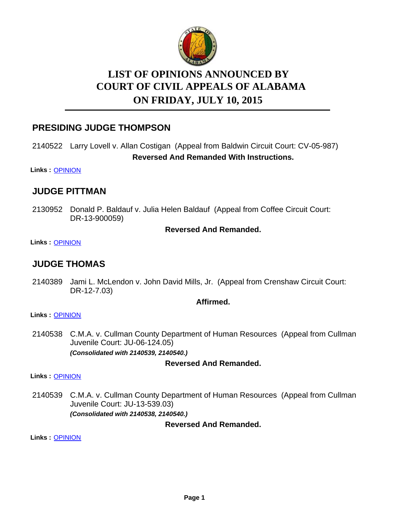

# **LIST OF OPINIONS ANNOUNCED BY ON FRIDAY, JULY 10, 2015 COURT OF CIVIL APPEALS OF ALABAMA**

## **PRESIDING JUDGE THOMPSON**

## 2140522 Larry Lovell v. Allan Costigan (Appeal from Baldwin Circuit Court: CV-05-987) **Reversed And Remanded With Instructions.**

**Links :** [OPINION](https://acis.alabama.gov/displaydocs.cfm?no=669712&event=4E80MB1ZV)

## **JUDGE PITTMAN**

2130952 Donald P. Baldauf v. Julia Helen Baldauf (Appeal from Coffee Circuit Court: DR-13-900059)

#### **Reversed And Remanded.**

**Links :** [OPINION](https://acis.alabama.gov/displaydocs.cfm?no=669710&event=4E80MAS07)

## **JUDGE THOMAS**

2140389 Jami L. McLendon v. John David Mills, Jr. (Appeal from Crenshaw Circuit Court: DR-12-7.03)

#### **Affirmed.**

#### **Links :** [OPINION](https://acis.alabama.gov/displaydocs.cfm?no=669711&event=4E80MAY2M)

2140538 C.M.A. v. Cullman County Department of Human Resources (Appeal from Cullman Juvenile Court: JU-06-124.05) *(Consolidated with 2140539, 2140540.)*

#### **Reversed And Remanded.**

**Links :** [OPINION](https://acis.alabama.gov/displaydocs.cfm?no=669713&event=4E80MB836)

2140539 C.M.A. v. Cullman County Department of Human Resources (Appeal from Cullman Juvenile Court: JU-13-539.03) *(Consolidated with 2140538, 2140540.)*

**Reversed And Remanded.**

**Links :** [OPINION](https://acis.alabama.gov/displaydocs.cfm?no=669713&event=4E80MB836)